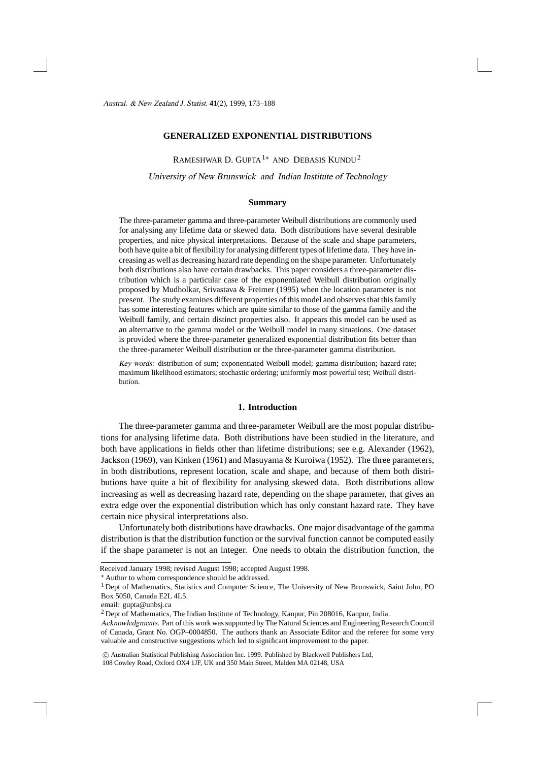# **GENERALIZED EXPONENTIAL DISTRIBUTIONS**

RAMESHWAR D. GUPTA<sup>1\*</sup> AND DEBASIS KUNDU<sup>2</sup>

University of New Brunswick and Indian Institute of Technology

## **Summary**

The three-parameter gamma and three-parameter Weibull distributions are commonly used for analysing any lifetime data or skewed data. Both distributions have several desirable properties, and nice physical interpretations. Because of the scale and shape parameters, both have quite a bit of flexibility for analysing different types of lifetime data. They have increasing as well as decreasing hazard rate depending on the shape parameter. Unfortunately both distributions also have certain drawbacks. This paper considers a three-parameter distribution which is a particular case of the exponentiated Weibull distribution originally proposed by Mudholkar, Srivastava & Freimer (1995) when the location parameter is not present. The study examines different properties of this model and observes that this family has some interesting features which are quite similar to those of the gamma family and the Weibull family, and certain distinct properties also. It appears this model can be used as an alternative to the gamma model or the Weibull model in many situations. One dataset is provided where the three-parameter generalized exponential distribution fits better than the three-parameter Weibull distribution or the three-parameter gamma distribution.

Key words: distribution of sum; exponentiated Weibull model; gamma distribution; hazard rate; maximum likelihood estimators; stochastic ordering; uniformly most powerful test; Weibull distribution.

# **1. Introduction**

The three-parameter gamma and three-parameter Weibull are the most popular distributions for analysing lifetime data. Both distributions have been studied in the literature, and both have applications in fields other than lifetime distributions; see e.g. Alexander (1962), Jackson (1969), van Kinken (1961) and Masuyama & Kuroiwa (1952). The three parameters, in both distributions, represent location, scale and shape, and because of them both distributions have quite a bit of flexibility for analysing skewed data. Both distributions allow increasing as well as decreasing hazard rate, depending on the shape parameter, that gives an extra edge over the exponential distribution which has only constant hazard rate. They have certain nice physical interpretations also.

Unfortunately both distributions have drawbacks. One major disadvantage of the gamma distribution is that the distribution function or the survival function cannot be computed easily if the shape parameter is not an integer. One needs to obtain the distribution function, the

<sup>∗</sup> Author to whom correspondence should be addressed.

 c Australian Statistical Publishing Association Inc. 1999. Published by Blackwell Publishers Ltd, 108 Cowley Road, Oxford OX4 1JF, UK and 350 Main Street, Malden MA 02148, USA

Received January 1998; revised August 1998; accepted August 1998.

<sup>1</sup> Dept of Mathematics, Statistics and Computer Science, The University of New Brunswick, Saint John, PO Box 5050, Canada E2L 4L5.

email: gupta@unbsj.ca

 $2$  Dept of Mathematics, The Indian Institute of Technology, Kanpur, Pin 208016, Kanpur, India.

Acknowledgments. Part of this work was supported by The Natural Sciences and Engineering Research Council of Canada, Grant No. OGP–0004850. The authors thank an Associate Editor and the referee for some very valuable and constructive suggestions which led to significant improvement to the paper.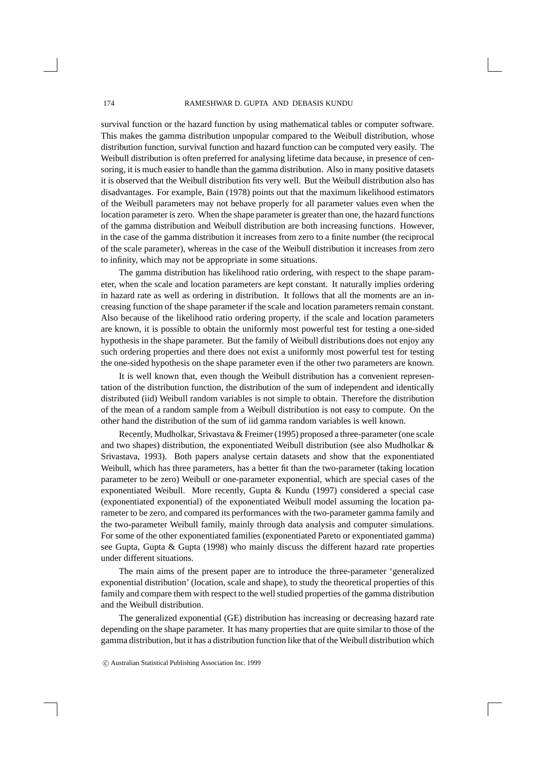survival function or the hazard function by using mathematical tables or computer software. This makes the gamma distribution unpopular compared to the Weibull distribution, whose distribution function, survival function and hazard function can be computed very easily. The Weibull distribution is often preferred for analysing lifetime data because, in presence of censoring, it is much easier to handle than the gamma distribution. Also in many positive datasets it is observed that the Weibull distribution fits very well. But the Weibull distribution also has disadvantages. For example, Bain (1978) points out that the maximum likelihood estimators of the Weibull parameters may not behave properly for all parameter values even when the location parameter is zero. When the shape parameter is greater than one, the hazard functions of the gamma distribution and Weibull distribution are both increasing functions. However, in the case of the gamma distribution it increases from zero to a finite number (the reciprocal of the scale parameter), whereas in the case of the Weibull distribution it increases from zero to infinity, which may not be appropriate in some situations.

The gamma distribution has likelihood ratio ordering, with respect to the shape parameter, when the scale and location parameters are kept constant. It naturally implies ordering in hazard rate as well as ordering in distribution. It follows that all the moments are an increasing function of the shape parameter if the scale and location parameters remain constant. Also because of the likelihood ratio ordering property, if the scale and location parameters are known, it is possible to obtain the uniformly most powerful test for testing a one-sided hypothesis in the shape parameter. But the family of Weibull distributions does not enjoy any such ordering properties and there does not exist a uniformly most powerful test for testing the one-sided hypothesis on the shape parameter even if the other two parameters are known.

It is well known that, even though the Weibull distribution has a convenient representation of the distribution function, the distribution of the sum of independent and identically distributed (iid) Weibull random variables is not simple to obtain. Therefore the distribution of the mean of a random sample from a Weibull distribution is not easy to compute. On the other hand the distribution of the sum of iid gamma random variables is well known.

Recently, Mudholkar, Srivastava & Freimer (1995) proposed a three-parameter (one scale and two shapes) distribution, the exponentiated Weibull distribution (see also Mudholkar  $\&$ Srivastava, 1993). Both papers analyse certain datasets and show that the exponentiated Weibull, which has three parameters, has a better fit than the two-parameter (taking location parameter to be zero) Weibull or one-parameter exponential, which are special cases of the exponentiated Weibull. More recently, Gupta & Kundu (1997) considered a special case (exponentiated exponential) of the exponentiated Weibull model assuming the location parameter to be zero, and compared its performances with the two-parameter gamma family and the two-parameter Weibull family, mainly through data analysis and computer simulations. For some of the other exponentiated families (exponentiated Pareto or exponentiated gamma) see Gupta, Gupta & Gupta (1998) who mainly discuss the different hazard rate properties under different situations.

The main aims of the present paper are to introduce the three-parameter 'generalized exponential distribution' (location, scale and shape), to study the theoretical properties of this family and compare them with respect to the well studied properties of the gamma distribution and the Weibull distribution.

The generalized exponential (GE) distribution has increasing or decreasing hazard rate depending on the shape parameter. It has many properties that are quite similar to those of the gamma distribution, but it has a distribution function like that of the Weibull distribution which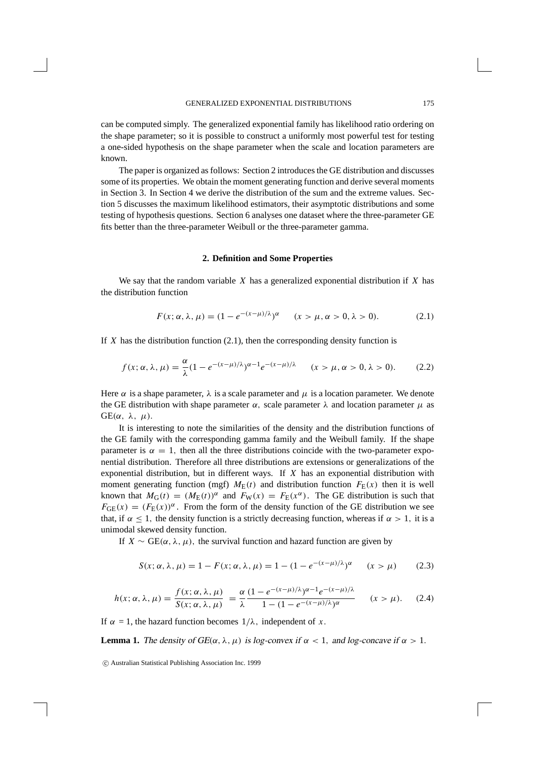can be computed simply. The generalized exponential family has likelihood ratio ordering on the shape parameter; so it is possible to construct a uniformly most powerful test for testing a one-sided hypothesis on the shape parameter when the scale and location parameters are known.

The paper is organized as follows: Section 2 introduces the GE distribution and discusses some of its properties. We obtain the moment generating function and derive several moments in Section 3. In Section 4 we derive the distribution of the sum and the extreme values. Section 5 discusses the maximum likelihood estimators, their asymptotic distributions and some testing of hypothesis questions. Section 6 analyses one dataset where the three-parameter GE fits better than the three-parameter Weibull or the three-parameter gamma.

#### **2. Definition and Some Properties**

We say that the random variable  $X$  has a generalized exponential distribution if  $X$  has the distribution function

$$
F(x; \alpha, \lambda, \mu) = (1 - e^{-(x - \mu)/\lambda})^{\alpha} \qquad (x > \mu, \alpha > 0, \lambda > 0). \tag{2.1}
$$

If  $X$  has the distribution function (2.1), then the corresponding density function is

$$
f(x; \alpha, \lambda, \mu) = \frac{\alpha}{\lambda} (1 - e^{-(x - \mu)/\lambda})^{\alpha - 1} e^{-(x - \mu)/\lambda} \qquad (x > \mu, \alpha > 0, \lambda > 0). \tag{2.2}
$$

Here  $\alpha$  is a shape parameter,  $\lambda$  is a scale parameter and  $\mu$  is a location parameter. We denote the GE distribution with shape parameter  $\alpha$ , scale parameter  $\lambda$  and location parameter  $\mu$  as  $GE(\alpha, \lambda, \mu)$ .

It is interesting to note the similarities of the density and the distribution functions of the GE family with the corresponding gamma family and the Weibull family. If the shape parameter is  $\alpha = 1$ , then all the three distributions coincide with the two-parameter exponential distribution. Therefore all three distributions are extensions or generalizations of the exponential distribution, but in different ways. If  $X$  has an exponential distribution with moment generating function (mgf)  $M_E(t)$  and distribution function  $F_E(x)$  then it is well known that  $M_G(t) = (M_E(t))^{\alpha}$  and  $F_W(x) = F_E(x^{\alpha})$ . The GE distribution is such that  $F_{GE}(x) = (F_E(x))^{\alpha}$ . From the form of the density function of the GE distribution we see that, if  $\alpha \leq 1$ , the density function is a strictly decreasing function, whereas if  $\alpha > 1$ , it is a unimodal skewed density function.

If  $X \sim \text{GE}(\alpha, \lambda, \mu)$ , the survival function and hazard function are given by

$$
S(x; \alpha, \lambda, \mu) = 1 - F(x; \alpha, \lambda, \mu) = 1 - (1 - e^{-(x - \mu)/\lambda})^{\alpha} \qquad (x > \mu) \tag{2.3}
$$

$$
h(x; \alpha, \lambda, \mu) = \frac{f(x; \alpha, \lambda, \mu)}{S(x; \alpha, \lambda, \mu)} = \frac{\alpha}{\lambda} \frac{(1 - e^{-(x - \mu)/\lambda})^{\alpha - 1} e^{-(x - \mu)/\lambda}}{1 - (1 - e^{-(x - \mu)/\lambda})^{\alpha}} \qquad (x > \mu). \tag{2.4}
$$

If  $\alpha = 1$ , the hazard function becomes  $1/\lambda$ , independent of x.

**Lemma 1.** The density of  $GE(\alpha, \lambda, \mu)$  is log-convex if  $\alpha < 1$ , and log-concave if  $\alpha > 1$ .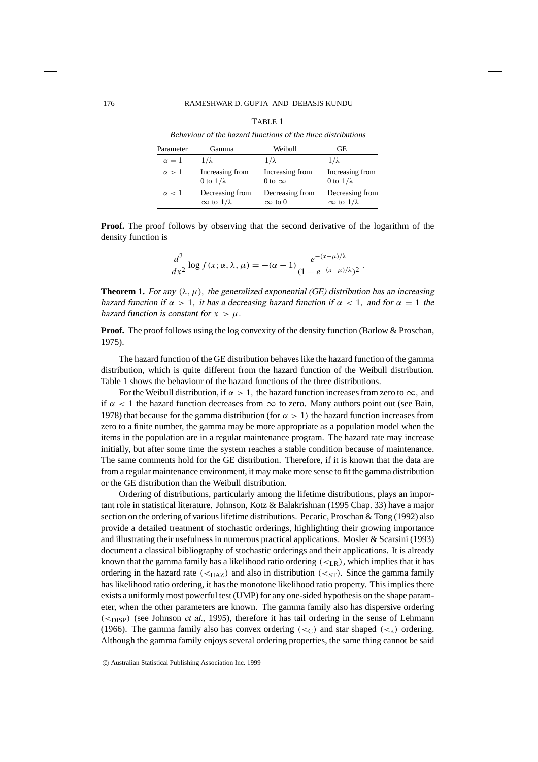| Parameter    | Gamma                                      | Weibull                          | GE.                                        |
|--------------|--------------------------------------------|----------------------------------|--------------------------------------------|
| $\alpha=1$   | $1/\lambda$                                | $1/\lambda$                      | $1/\lambda$                                |
| $\alpha > 1$ | Increasing from<br>0 to $1/\lambda$        | Increasing from<br>0 to $\infty$ | Increasing from<br>0 to $1/\lambda$        |
| $\alpha$ < 1 | Decreasing from<br>$\infty$ to $1/\lambda$ | Decreasing from<br>$\infty$ to 0 | Decreasing from<br>$\infty$ to $1/\lambda$ |

|--|--|

Behaviour of the hazard functions of the three distributions

**Proof.** The proof follows by observing that the second derivative of the logarithm of the density function is

$$
\frac{d^2}{dx^2} \log f(x; \alpha, \lambda, \mu) = -(\alpha - 1) \frac{e^{-(x - \mu)/\lambda}}{(1 - e^{-(x - \mu)/\lambda})^2}.
$$

**Theorem 1.** For any  $(\lambda, \mu)$ , the generalized exponential (GE) distribution has an increasing hazard function if  $\alpha > 1$ , it has a decreasing hazard function if  $\alpha < 1$ , and for  $\alpha = 1$  the hazard function is constant for  $x > \mu$ .

**Proof.** The proof follows using the log convexity of the density function (Barlow & Proschan, 1975).

The hazard function of the GE distribution behaves like the hazard function of the gamma distribution, which is quite different from the hazard function of the Weibull distribution. Table 1 shows the behaviour of the hazard functions of the three distributions.

For the Weibull distribution, if  $\alpha > 1$ , the hazard function increases from zero to  $\infty$ , and if  $\alpha$  < 1 the hazard function decreases from  $\infty$  to zero. Many authors point out (see Bain, 1978) that because for the gamma distribution (for  $\alpha > 1$ ) the hazard function increases from zero to a finite number, the gamma may be more appropriate as a population model when the items in the population are in a regular maintenance program. The hazard rate may increase initially, but after some time the system reaches a stable condition because of maintenance. The same comments hold for the GE distribution. Therefore, if it is known that the data are from a regular maintenance environment, it may make more sense to fit the gamma distribution or the GE distribution than the Weibull distribution.

Ordering of distributions, particularly among the lifetime distributions, plays an important role in statistical literature. Johnson, Kotz & Balakrishnan (1995 Chap. 33) have a major section on the ordering of various lifetime distributions. Pecaric, Proschan & Tong (1992) also provide a detailed treatment of stochastic orderings, highlighting their growing importance and illustrating their usefulness in numerous practical applications. Mosler  $\&$  Scarsini (1993) document a classical bibliography of stochastic orderings and their applications. It is already known that the gamma family has a likelihood ratio ordering  $(<_{LR})$ , which implies that it has ordering in the hazard rate ( $\lt_{HAZ}$ ) and also in distribution ( $\lt_{ST}$ ). Since the gamma family has likelihood ratio ordering, it has the monotone likelihood ratio property. This implies there exists a uniformly most powerful test (UMP) for any one-sided hypothesis on the shape parameter, when the other parameters are known. The gamma family also has dispersive ordering  $(<sub>SNSP</sub>)$  (see Johnson *et al.*, 1995), therefore it has tail ordering in the sense of Lehmann (1966). The gamma family also has convex ordering ( $\lt C$ ) and star shaped ( $\lt_{*}$ ) ordering. Although the gamma family enjoys several ordering properties, the same thing cannot be said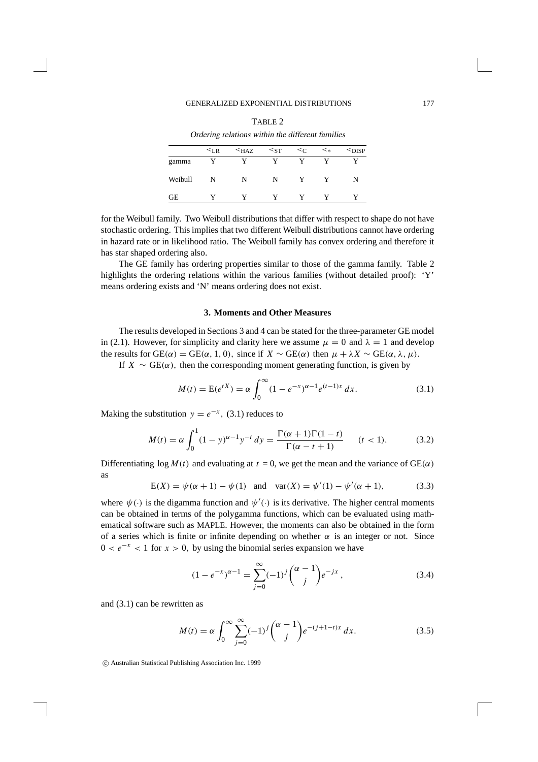| ordering relations whilm the university rammes |      |       |           |          |         |        |
|------------------------------------------------|------|-------|-----------|----------|---------|--------|
|                                                | $LR$ | $HAZ$ | $\leq$ ST | $\leq_C$ | $<_{*}$ | $DISP$ |
| gamma                                          |      |       |           |          |         |        |
| Weibull                                        | N    | N     | N         | Y        | Y       | N      |
| GE                                             |      |       |           |          |         |        |

TABLE 2 Ordering relations within the different families

for the Weibull family. Two Weibull distributions that differ with respect to shape do not have stochastic ordering. This implies that two different Weibull distributions cannot have ordering in hazard rate or in likelihood ratio. The Weibull family has convex ordering and therefore it has star shaped ordering also.

The GE family has ordering properties similar to those of the gamma family. Table 2 highlights the ordering relations within the various families (without detailed proof): 'Y' means ordering exists and 'N' means ordering does not exist.

## **3. Moments and Other Measures**

The results developed in Sections 3 and 4 can be stated for the three-parameter GE model in (2.1). However, for simplicity and clarity here we assume  $\mu = 0$  and  $\lambda = 1$  and develop the results for  $GE(\alpha) = GE(\alpha, 1, 0)$ , since if  $X \sim GE(\alpha)$  then  $\mu + \lambda X \sim GE(\alpha, \lambda, \mu)$ .

If  $X \sim \text{GE}(\alpha)$ , then the corresponding moment generating function, is given by

$$
M(t) = E(e^{tX}) = \alpha \int_0^\infty (1 - e^{-x})^{\alpha - 1} e^{(t-1)x} dx.
$$
 (3.1)

Making the substitution  $y = e^{-x}$ , (3.1) reduces to

$$
M(t) = \alpha \int_0^1 (1 - y)^{\alpha - 1} y^{-t} dy = \frac{\Gamma(\alpha + 1)\Gamma(1 - t)}{\Gamma(\alpha - t + 1)} \qquad (t < 1).
$$
 (3.2)

Differentiating  $\log M(t)$  and evaluating at  $t = 0$ , we get the mean and the variance of  $GE(\alpha)$ as

$$
E(X) = \psi(\alpha + 1) - \psi(1) \text{ and } \text{var}(X) = \psi'(1) - \psi'(\alpha + 1), \tag{3.3}
$$

where  $\psi(\cdot)$  is the digamma function and  $\psi'(\cdot)$  is its derivative. The higher central moments can be obtained in terms of the polygamma functions, which can be evaluated using mathematical software such as MAPLE. However, the moments can also be obtained in the form of a series which is finite or infinite depending on whether  $\alpha$  is an integer or not. Since  $0 < e^{-x} < 1$  for  $x > 0$ , by using the binomial series expansion we have

$$
(1 - e^{-x})^{\alpha - 1} = \sum_{j=0}^{\infty} (-1)^j {\binom{\alpha - 1}{j}} e^{-jx}, \qquad (3.4)
$$

and (3.1) can be rewritten as

$$
M(t) = \alpha \int_0^\infty \sum_{j=0}^\infty (-1)^j {\alpha - 1 \choose j} e^{-(j+1-t)x} dx.
$$
 (3.5)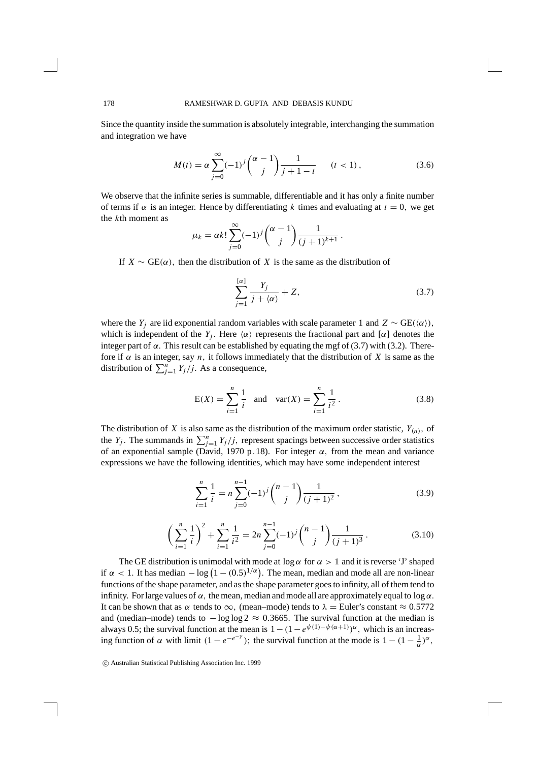Since the quantity inside the summation is absolutely integrable, interchanging the summation and integration we have

$$
M(t) = \alpha \sum_{j=0}^{\infty} (-1)^j {\alpha - 1 \choose j} \frac{1}{j+1-t} \qquad (t < 1),
$$
 (3.6)

We observe that the infinite series is summable, differentiable and it has only a finite number of terms if  $\alpha$  is an integer. Hence by differentiating k times and evaluating at  $t = 0$ , we get the kth moment as

$$
\mu_k = \alpha k! \sum_{j=0}^{\infty} (-1)^j {\binom{\alpha-1}{j}} \frac{1}{(j+1)^{k+1}}.
$$

If  $X \sim \text{GE}(\alpha)$ , then the distribution of X is the same as the distribution of

$$
\sum_{j=1}^{\lceil \alpha \rceil} \frac{Y_j}{j + \langle \alpha \rangle} + Z,\tag{3.7}
$$

where the Y<sub>j</sub> are iid exponential random variables with scale parameter 1 and Z ∼ GE( $\langle \alpha \rangle$ ), which is independent of the  $Y_i$ . Here  $\langle \alpha \rangle$  represents the fractional part and  $[\alpha]$  denotes the integer part of  $\alpha$ . This result can be established by equating the mgf of (3.7) with (3.2). Therefore if  $\alpha$  is an integer, say n, it follows immediately that the distribution of X is same as the distribution of  $\sum_{j=1}^{n} Y_j / j$ . As a consequence,

$$
E(X) = \sum_{i=1}^{n} \frac{1}{i} \text{ and } var(X) = \sum_{i=1}^{n} \frac{1}{i^2}.
$$
 (3.8)

The distribution of X is also same as the distribution of the maximum order statistic,  $Y_{(n)}$ , of the  $Y_j$ . The summands in  $\sum_{j=1}^n Y_j / j$ , represent spacings between successive order statistics of an exponential sample (David, 1970 p.18). For integer  $\alpha$ , from the mean and variance expressions we have the following identities, which may have some independent interest

$$
\sum_{i=1}^{n} \frac{1}{i} = n \sum_{j=0}^{n-1} (-1)^j \binom{n-1}{j} \frac{1}{(j+1)^2},\tag{3.9}
$$

$$
\left(\sum_{i=1}^{n} \frac{1}{i}\right)^2 + \sum_{i=1}^{n} \frac{1}{i^2} = 2n \sum_{j=0}^{n-1} (-1)^j {n-1 \choose j} \frac{1}{(j+1)^3}.
$$
 (3.10)

The GE distribution is unimodal with mode at  $log \alpha$  for  $\alpha > 1$  and it is reverse 'J' shaped if  $\alpha$  < 1. It has median  $-\log(1-(0.5)^{1/\alpha})$ . The mean, median and mode all are non-linear functions of the shape parameter, and as the shape parameter goes to infinity, all of them tend to infinity. For large values of  $\alpha$ , the mean, median and mode all are approximately equal to log  $\alpha$ . It can be shown that as  $\alpha$  tends to  $\infty$ , (mean–mode) tends to  $\lambda =$  Euler's constant  $\approx 0.5772$ and (median–mode) tends to  $-\log \log 2 \approx 0.3665$ . The survival function at the median is always 0.5; the survival function at the mean is  $1 - (1 - e^{\psi(1) - \psi(\alpha+1)})^{\alpha}$ , which is an increasing function of  $\alpha$  with limit  $(1 - e^{-e^{-\gamma}})$ ; the survival function at the mode is  $1 - (1 - \frac{1}{\alpha})^{\alpha}$ ,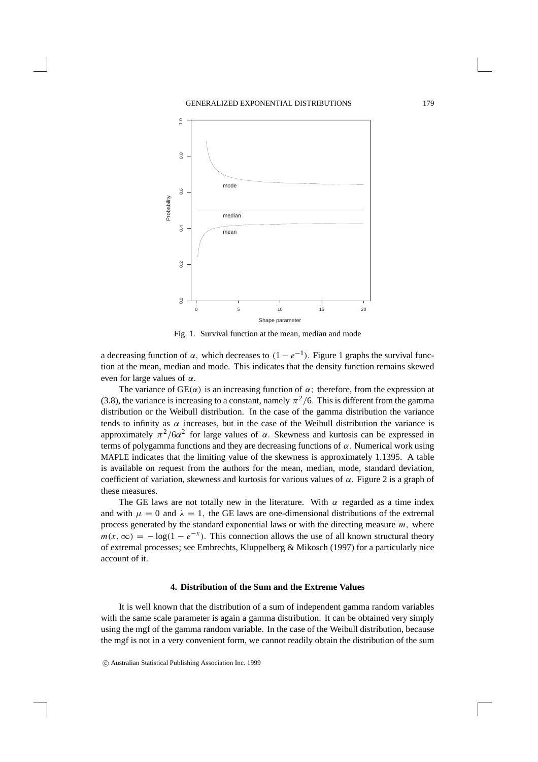

Fig. 1. Survival function at the mean, median and mode

a decreasing function of  $\alpha$ , which decreases to  $(1 - e^{-1})$ . Figure 1 graphs the survival function at the mean, median and mode. This indicates that the density function remains skewed even for large values of  $\alpha$ .

The variance of  $GE(\alpha)$  is an increasing function of  $\alpha$ ; therefore, from the expression at (3.8), the variance is increasing to a constant, namely  $\pi^2/6$ . This is different from the gamma distribution or the Weibull distribution. In the case of the gamma distribution the variance tends to infinity as  $\alpha$  increases, but in the case of the Weibull distribution the variance is approximately  $\pi^2/6\alpha^2$  for large values of α. Skewness and kurtosis can be expressed in terms of polygamma functions and they are decreasing functions of  $\alpha$ . Numerical work using MAPLE indicates that the limiting value of the skewness is approximately 1.1395. A table is available on request from the authors for the mean, median, mode, standard deviation, coefficient of variation, skewness and kurtosis for various values of  $\alpha$ . Figure 2 is a graph of these measures.

The GE laws are not totally new in the literature. With  $\alpha$  regarded as a time index and with  $\mu = 0$  and  $\lambda = 1$ , the GE laws are one-dimensional distributions of the extremal process generated by the standard exponential laws or with the directing measure  $m$ , where  $m(x,\infty) = -\log(1-e^{-x})$ . This connection allows the use of all known structural theory of extremal processes; see Embrechts, Kluppelberg & Mikosch (1997) for a particularly nice account of it.

## **4. Distribution of the Sum and the Extreme Values**

It is well known that the distribution of a sum of independent gamma random variables with the same scale parameter is again a gamma distribution. It can be obtained very simply using the mgf of the gamma random variable. In the case of the Weibull distribution, because the mgf is not in a very convenient form, we cannot readily obtain the distribution of the sum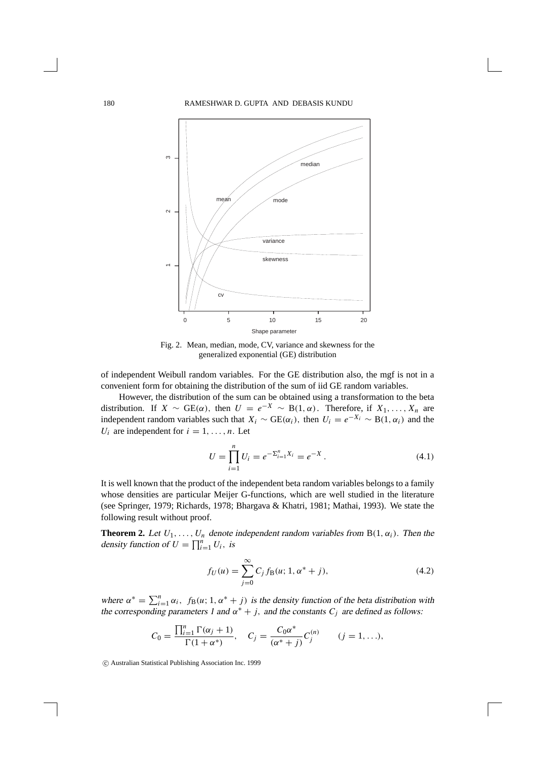

Fig. 2. Mean, median, mode, CV, variance and skewness for the generalized exponential (GE) distribution

of independent Weibull random variables. For the GE distribution also, the mgf is not in a convenient form for obtaining the distribution of the sum of iid GE random variables.

However, the distribution of the sum can be obtained using a transformation to the beta distribution. If  $X \sim \text{GE}(\alpha)$ , then  $U = e^{-X} \sim B(1, \alpha)$ . Therefore, if  $X_1, \ldots, X_n$  are independent random variables such that  $X_i \sim \text{GE}(\alpha_i)$ , then  $U_i = e^{-X_i} \sim \text{B}(1, \alpha_i)$  and the  $U_i$  are independent for  $i = 1, \ldots, n$ . Let

$$
U = \prod_{i=1}^{n} U_i = e^{-\sum_{i=1}^{n} X_i} = e^{-X}.
$$
\n(4.1)

It is well known that the product of the independent beta random variables belongs to a family whose densities are particular Meijer G-functions, which are well studied in the literature (see Springer, 1979; Richards, 1978; Bhargava & Khatri, 1981; Mathai, 1993). We state the following result without proof.

**Theorem 2.** Let  $U_1, \ldots, U_n$  denote independent random variables from  $B(1, \alpha_i)$ . Then the density function of  $U = \prod_{i=1}^{n} U_i$ , is

$$
f_U(u) = \sum_{j=0}^{\infty} C_j f_B(u; 1, \alpha^* + j),
$$
 (4.2)

where  $\alpha^* = \sum_{i=1}^n \alpha_i$ ,  $f_B(u; 1, \alpha^* + j)$  is the density function of the beta distribution with the corresponding parameters 1 and  $\alpha^* + j$ , and the constants  $C_j$  are defined as follows:

$$
C_0 = \frac{\prod_{i=1}^n \Gamma(\alpha_j + 1)}{\Gamma(1 + \alpha^*)}, \quad C_j = \frac{C_0 \alpha^*}{(\alpha^* + j)} C_j^{(n)} \qquad (j = 1, \ldots),
$$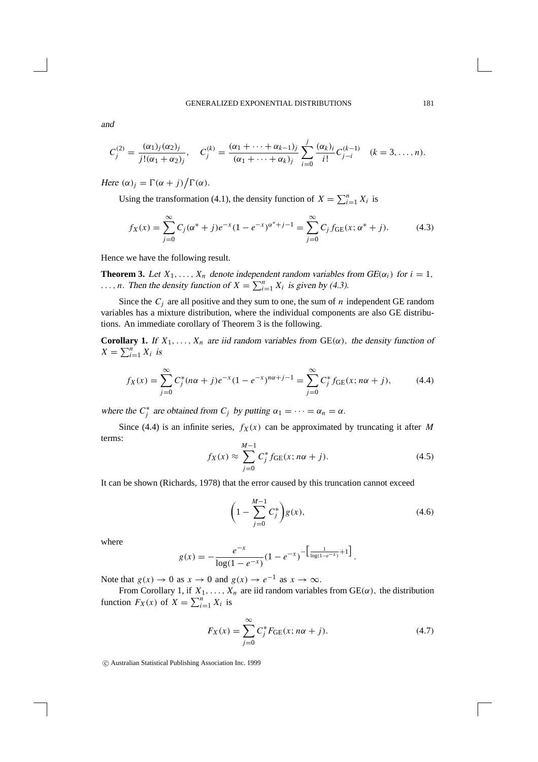and

$$
C_j^{(2)} = \frac{(\alpha_1)_j (\alpha_2)_j}{j!(\alpha_1 + \alpha_2)_j}, \quad C_j^{(k)} = \frac{(\alpha_1 + \dots + \alpha_{k-1})_j}{(\alpha_1 + \dots + \alpha_k)_j} \sum_{i=0}^j \frac{(\alpha_k)_i}{i!} C_{j-i}^{(k-1)} \quad (k = 3, \dots, n).
$$

Here  $(\alpha)_j = \Gamma(\alpha + j) / \Gamma(\alpha)$ .

Using the transformation (4.1), the density function of  $X = \sum_{i=1}^{n} X_i$  is

$$
f_X(x) = \sum_{j=0}^{\infty} C_j (\alpha^* + j) e^{-x} (1 - e^{-x})^{\alpha^* + j - 1} = \sum_{j=0}^{\infty} C_j f_{GE}(x; \alpha^* + j).
$$
 (4.3)

Hence we have the following result.

**Theorem 3.** Let  $X_1, \ldots, X_n$  denote independent random variables from  $GE(\alpha_i)$  for  $i = 1$ , ..., *n*. Then the density function of  $X = \sum_{i=1}^{n} X_i$  is given by (4.3).

Since the  $C_j$  are all positive and they sum to one, the sum of n independent GE random variables has a mixture distribution, where the individual components are also GE distributions. An immediate corollary of Theorem 3 is the following.

**Corollary 1.** If  $X_1, \ldots, X_n$  are iid random variables from  $GE(\alpha)$ , the density function of  $X = \sum_{i=1}^{n} X_i$  is

$$
f_X(x) = \sum_{j=0}^{\infty} C_j^*(n\alpha + j)e^{-x}(1 - e^{-x})^{n\alpha + j - 1} = \sum_{j=0}^{\infty} C_j^* f_{GE}(x; n\alpha + j),
$$
 (4.4)

where the  $C_j^*$  are obtained from  $C_j$  by putting  $\alpha_1 = \cdots = \alpha_n = \alpha$ .

Since (4.4) is an infinite series,  $f_X(x)$  can be approximated by truncating it after M terms:

$$
f_X(x) \approx \sum_{j=0}^{M-1} C_j^* f_{GE}(x; n\alpha + j).
$$
 (4.5)

It can be shown (Richards, 1978) that the error caused by this truncation cannot exceed

$$
\left(1 - \sum_{j=0}^{M-1} C_j^*\right) g(x),\tag{4.6}
$$

where

$$
g(x) = -\frac{e^{-x}}{\log(1 - e^{-x})} (1 - e^{-x})^{-\left[\frac{1}{\log(1 - e^{-x})} + 1\right]}.
$$

Note that  $g(x) \to 0$  as  $x \to 0$  and  $g(x) \to e^{-1}$  as  $x \to \infty$ .

From Corollary 1, if  $X_1, \ldots, X_n$  are iid random variables from  $GE(\alpha)$ , the distribution function  $F_X(x)$  of  $X = \sum_{i=1}^n X_i$  is

$$
F_X(x) = \sum_{j=0}^{\infty} C_j^* F_{GE}(x; n\alpha + j).
$$
 (4.7)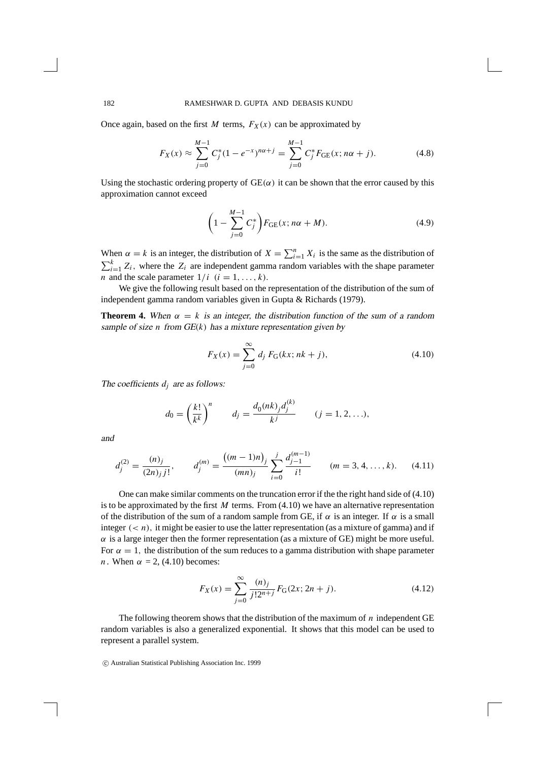Once again, based on the first M terms,  $F_X(x)$  can be approximated by

$$
F_X(x) \approx \sum_{j=0}^{M-1} C_j^*(1 - e^{-x})^{n\alpha + j} = \sum_{j=0}^{M-1} C_j^* F_{GE}(x; n\alpha + j).
$$
 (4.8)

Using the stochastic ordering property of  $GE(\alpha)$  it can be shown that the error caused by this approximation cannot exceed

$$
\left(1 - \sum_{j=0}^{M-1} C_j^*\right) F_{GE}(x; n\alpha + M). \tag{4.9}
$$

When  $\alpha = k$  is an integer, the distribution of  $X = \sum_{i=1}^{n} X_i$  is the same as the distribution of  $\sum_{i=1}^{k} Z_i$ , where the  $Z_i$  are independent gamma random variables with the shape parameter *n* and the scale parameter  $1/i$   $(i = 1, ..., k)$ .

We give the following result based on the representation of the distribution of the sum of independent gamma random variables given in Gupta & Richards (1979).

**Theorem 4.** When  $\alpha = k$  is an integer, the distribution function of the sum of a random sample of size n from  $GE(k)$  has a mixture representation given by

$$
F_X(x) = \sum_{j=0}^{\infty} d_j F_G(kx; nk+j),
$$
\n(4.10)

The coefficients  $d_i$  are as follows:

$$
d_0 = \left(\frac{k!}{k^k}\right)^n \qquad d_j = \frac{d_0(nk)_j d_j^{(k)}}{k^j} \qquad (j = 1, 2, \ldots),
$$

and

$$
d_j^{(2)} = \frac{(n)_j}{(2n)_j j!}, \qquad d_j^{(m)} = \frac{((m-1)n)_j}{(mn)_j} \sum_{i=0}^j \frac{d_{j-1}^{(m-1)}}{i!} \qquad (m = 3, 4, ..., k). \tag{4.11}
$$

One can make similar comments on the truncation error if the the right hand side of (4.10) is to be approximated by the first  $M$  terms. From (4.10) we have an alternative representation of the distribution of the sum of a random sample from GE, if  $\alpha$  is an integer. If  $\alpha$  is a small integer  $(*n*)$ , it might be easier to use the latter representation (as a mixture of gamma) and if  $\alpha$  is a large integer then the former representation (as a mixture of GE) might be more useful. For  $\alpha = 1$ , the distribution of the sum reduces to a gamma distribution with shape parameter *n*. When  $\alpha = 2$ , (4.10) becomes:

$$
F_X(x) = \sum_{j=0}^{\infty} \frac{(n)_j}{j!2^{n+j}} F_G(2x; 2n+j).
$$
 (4.12)

The following theorem shows that the distribution of the maximum of  $n$  independent GE random variables is also a generalized exponential. It shows that this model can be used to represent a parallel system.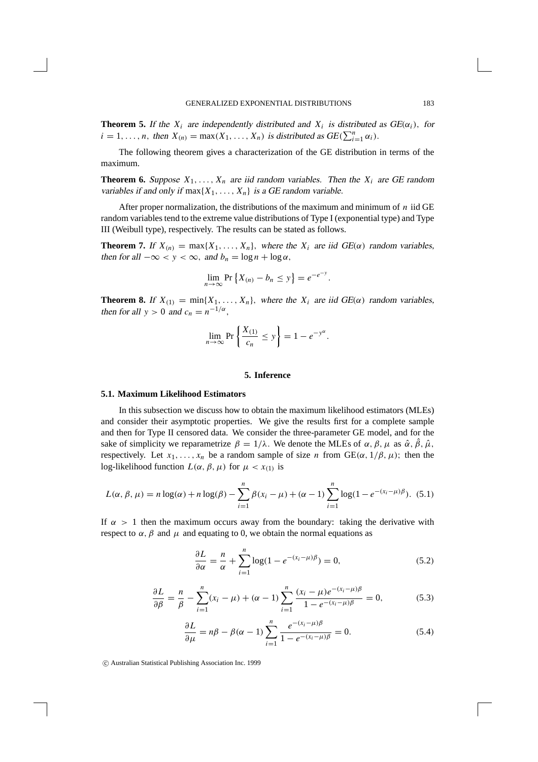**Theorem 5.** If the  $X_i$  are independently distributed and  $X_i$  is distributed as  $GE(\alpha_i)$ , for  $i = 1, \dots, n$ , then  $X_{(n)} = \max(X_1, \dots, X_n)$  is distributed as  $GE(\sum_{i=1}^n \alpha_i)$ .

The following theorem gives a characterization of the GE distribution in terms of the maximum.

**Theorem 6.** Suppose  $X_1, \ldots, X_n$  are iid random variables. Then the  $X_i$  are GE random variables if and only if  $max{X_1, ..., X_n}$  is a GE random variable.

After proper normalization, the distributions of the maximum and minimum of  $n$  iid GE random variables tend to the extreme value distributions of Type I (exponential type) and Type III (Weibull type), respectively. The results can be stated as follows.

**Theorem 7.** If  $X_{(n)} = \max\{X_1, \ldots, X_n\}$ , where the  $X_i$  are iid  $GE(\alpha)$  random variables, then for all  $-\infty < y < \infty$ , and  $b_n = \log n + \log \alpha$ ,

$$
\lim_{n\to\infty}\Pr\left\{X_{(n)}-b_n\leq y\right\}=e^{-e^{-y}}.
$$

**Theorem 8.** If  $X_{(1)} = \min\{X_1, \ldots, X_n\}$ , where the  $X_i$  are iid  $GE(\alpha)$  random variables, then for all  $y > 0$  and  $c_n = n^{-1/\alpha}$ ,

$$
\lim_{n \to \infty} \Pr \left\{ \frac{X_{(1)}}{c_n} \le y \right\} = 1 - e^{-y^{\alpha}}.
$$

## **5. Inference**

### **5.1. Maximum Likelihood Estimators**

In this subsection we discuss how to obtain the maximum likelihood estimators (MLEs) and consider their asymptotic properties. We give the results first for a complete sample and then for Type II censored data. We consider the three-parameter GE model, and for the sake of simplicity we reparametrize  $\beta = 1/\lambda$ . We denote the MLEs of  $\alpha$ ,  $\beta$ ,  $\mu$  as  $\hat{\alpha}$ ,  $\hat{\beta}$ ,  $\hat{\mu}$ , respectively. Let  $x_1, \ldots, x_n$  be a random sample of size n from  $GE(\alpha, 1/\beta, \mu)$ ; then the log-likelihood function  $L(\alpha, \beta, \mu)$  for  $\mu < x_{(1)}$  is

$$
L(\alpha, \beta, \mu) = n \log(\alpha) + n \log(\beta) - \sum_{i=1}^{n} \beta(x_i - \mu) + (\alpha - 1) \sum_{i=1}^{n} \log(1 - e^{-(x_i - \mu)\beta}).
$$
 (5.1)

If  $\alpha > 1$  then the maximum occurs away from the boundary: taking the derivative with respect to  $\alpha$ ,  $\beta$  and  $\mu$  and equating to 0, we obtain the normal equations as

$$
\frac{\partial L}{\partial \alpha} = \frac{n}{\alpha} + \sum_{i=1}^{n} \log(1 - e^{-(x_i - \mu)\beta}) = 0,
$$
\n(5.2)

$$
\frac{\partial L}{\partial \beta} = \frac{n}{\beta} - \sum_{i=1}^{n} (x_i - \mu) + (\alpha - 1) \sum_{i=1}^{n} \frac{(x_i - \mu)e^{-(x_i - \mu)\beta}}{1 - e^{-(x_i - \mu)\beta}} = 0,
$$
(5.3)

$$
\frac{\partial L}{\partial \mu} = n\beta - \beta(\alpha - 1) \sum_{i=1}^{n} \frac{e^{-(x_i - \mu)\beta}}{1 - e^{-(x_i - \mu)\beta}} = 0.
$$
 (5.4)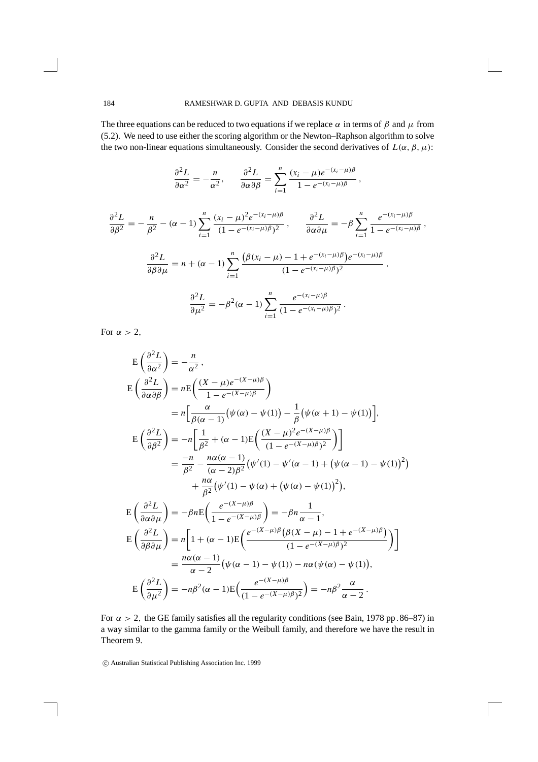The three equations can be reduced to two equations if we replace  $\alpha$  in terms of  $\beta$  and  $\mu$  from (5.2). We need to use either the scoring algorithm or the Newton–Raphson algorithm to solve the two non-linear equations simultaneously. Consider the second derivatives of  $L(\alpha, \beta, \mu)$ :

$$
\frac{\partial^2 L}{\partial \alpha^2} = -\frac{n}{\alpha^2}, \qquad \frac{\partial^2 L}{\partial \alpha \partial \beta} = \sum_{i=1}^n \frac{(x_i - \mu) e^{-(x_i - \mu)\beta}}{1 - e^{-(x_i - \mu)\beta}},
$$

$$
\frac{\partial^2 L}{\partial \beta^2} = -\frac{n}{\beta^2} - (\alpha - 1) \sum_{i=1}^n \frac{(x_i - \mu)^2 e^{-(x_i - \mu)\beta}}{(1 - e^{-(x_i - \mu)\beta})^2}, \qquad \frac{\partial^2 L}{\partial \alpha \partial \mu} = -\beta \sum_{i=1}^n \frac{e^{-(x_i - \mu)\beta}}{1 - e^{-(x_i - \mu)\beta}},
$$

$$
\frac{\partial^2 L}{\partial \beta \partial \mu} = n + (\alpha - 1) \sum_{i=1}^n \frac{(\beta(x_i - \mu) - 1 + e^{-(x_i - \mu)\beta})e^{-(x_i - \mu)\beta}}{(1 - e^{-(x_i - \mu)\beta})^2},
$$

$$
\frac{\partial^2 L}{\partial \mu^2} = -\beta^2 (\alpha - 1) \sum_{i=1}^n \frac{e^{-(x_i - \mu)\beta}}{(1 - e^{-(x_i - \mu)\beta})^2}.
$$

For  $\alpha > 2$ ,

$$
E\left(\frac{\partial^2 L}{\partial \alpha^2}\right) = -\frac{n}{\alpha^2},
$$
  
\n
$$
E\left(\frac{\partial^2 L}{\partial \alpha \partial \beta}\right) = nE\left(\frac{(X - \mu)e^{-(X - \mu)\beta}}{1 - e^{-(X - \mu)\beta}}\right)
$$
  
\n
$$
= n\left[\frac{\alpha}{\beta(\alpha - 1)}\left(\psi(\alpha) - \psi(1)\right) - \frac{1}{\beta}\left(\psi(\alpha + 1) - \psi(1)\right)\right],
$$
  
\n
$$
E\left(\frac{\partial^2 L}{\partial \beta^2}\right) = -n\left[\frac{1}{\beta^2} + (\alpha - 1)E\left(\frac{(X - \mu)^2 e^{-(X - \mu)\beta}}{(1 - e^{-(X - \mu)\beta})^2}\right)\right]
$$
  
\n
$$
= \frac{-n}{\beta^2} - \frac{n\alpha(\alpha - 1)}{(\alpha - 2)\beta^2}\left(\psi'(1) - \psi'(\alpha - 1) + \left(\psi(\alpha - 1) - \psi(1)\right)^2\right)
$$
  
\n
$$
+ \frac{n\alpha}{\beta^2}\left(\psi'(1) - \psi(\alpha) + \left(\psi(\alpha) - \psi(1)\right)^2\right),
$$
  
\n
$$
E\left(\frac{\partial^2 L}{\partial \alpha \partial \mu}\right) = -\beta n E\left(\frac{e^{-(X - \mu)\beta}}{1 - e^{-(X - \mu)\beta}}\right) = -\beta n \frac{1}{\alpha - 1},
$$
  
\n
$$
E\left(\frac{\partial^2 L}{\partial \beta \partial \mu}\right) = n\left[1 + (\alpha - 1)E\left(\frac{e^{-(X - \mu)\beta}(\beta(X - \mu) - 1 + e^{-(X - \mu)\beta})}{(1 - e^{-(X - \mu)\beta})^2}\right)\right]
$$
  
\n
$$
= \frac{n\alpha(\alpha - 1)}{\alpha - 2}\left(\psi(\alpha - 1) - \psi(1)\right) - n\alpha(\psi(\alpha) - \psi(1)),
$$
  
\n
$$
E\left(\frac{\partial^2 L}{\partial \mu^2}\right) = -n\beta^2(\alpha - 1)E\left(\frac{e^{-(X - \mu)\beta}}{(1 - e^{-(X - \mu)\beta})^2}\right) = -n\beta^2 \frac{\alpha}{\alpha - 2}
$$

For  $\alpha > 2$ , the GE family satisfies all the regularity conditions (see Bain, 1978 pp.86–87) in a way similar to the gamma family or the Weibull family, and therefore we have the result in Theorem 9.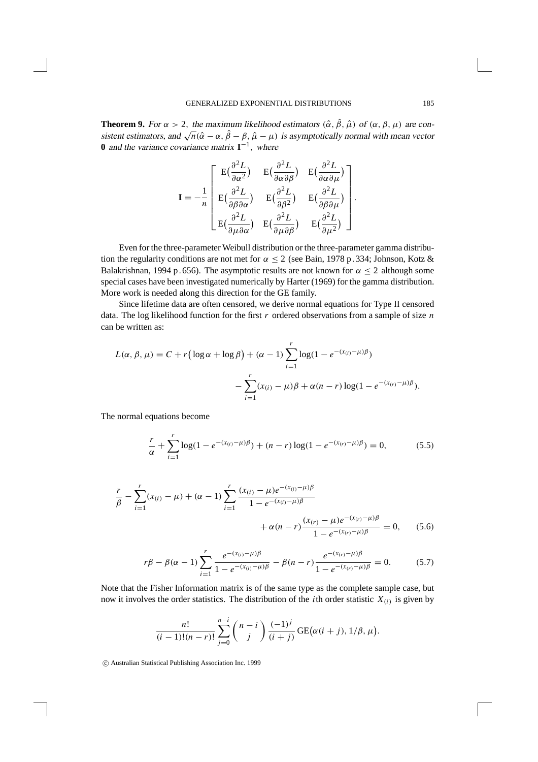**Theorem 9.** For  $\alpha > 2$ , the maximum likelihood estimators  $(\hat{\alpha}, \hat{\beta}, \hat{\mu})$  of  $(\alpha, \beta, \mu)$  are consistent estimators, and  $\sqrt{n}(\hat{\alpha} - \alpha, \hat{\beta} - \beta, \hat{\mu} - \mu)$  is asymptotically normal with mean vector **0** and the variance covariance matrix **I**−1, where

$$
\mathbf{I} = -\frac{1}{n} \begin{bmatrix} E(\frac{\partial^2 L}{\partial \alpha^2}) & E(\frac{\partial^2 L}{\partial \alpha \partial \beta}) & E(\frac{\partial^2 L}{\partial \alpha \partial \mu}) \\ E(\frac{\partial^2 L}{\partial \beta \partial \alpha}) & E(\frac{\partial^2 L}{\partial \beta^2}) & E(\frac{\partial^2 L}{\partial \beta \partial \mu}) \\ E(\frac{\partial^2 L}{\partial \mu \partial \alpha}) & E(\frac{\partial^2 L}{\partial \mu \partial \beta}) & E(\frac{\partial^2 L}{\partial \mu^2}) \end{bmatrix}.
$$

Even for the three-parameter Weibull distribution or the three-parameter gamma distribution the regularity conditions are not met for  $\alpha < 2$  (see Bain, 1978 p.334; Johnson, Kotz & Balakrishnan, 1994 p.656). The asymptotic results are not known for  $\alpha \le 2$  although some special cases have been investigated numerically by Harter (1969) for the gamma distribution. More work is needed along this direction for the GE family.

Since lifetime data are often censored, we derive normal equations for Type II censored data. The log likelihood function for the first  $r$  ordered observations from a sample of size  $n$ can be written as:

$$
L(\alpha, \beta, \mu) = C + r \Big( \log \alpha + \log \beta \Big) + (\alpha - 1) \sum_{i=1}^{r} \log(1 - e^{-(x_{(i)} - \mu)\beta}) - \sum_{i=1}^{r} (x_{(i)} - \mu)\beta + \alpha(n - r) \log(1 - e^{-(x_{(r)} - \mu)\beta}).
$$

The normal equations become

$$
\frac{r}{\alpha} + \sum_{i=1}^{r} \log(1 - e^{-(x_{(i)} - \mu)\beta}) + (n - r) \log(1 - e^{-(x_{(r)} - \mu)\beta}) = 0,
$$
\n(5.5)

$$
\frac{r}{\beta} - \sum_{i=1}^{r} (x_{(i)} - \mu) + (\alpha - 1) \sum_{i=1}^{r} \frac{(x_{(i)} - \mu)e^{-(x_{(i)} - \mu)\beta}}{1 - e^{-(x_{(i)} - \mu)\beta}} + \alpha(n - r) \frac{(x_{(r)} - \mu)e^{-(x_{(r)} - \mu)\beta}}{1 - e^{-(x_{(r)} - \mu)\beta}} = 0, \quad (5.6)
$$

$$
r\beta - \beta(\alpha - 1) \sum_{i=1}^{r} \frac{e^{-(x_{(i)} - \mu)\beta}}{1 - e^{-(x_{(i)} - \mu)\beta}} - \beta(n - r) \frac{e^{-(x_{(r)} - \mu)\beta}}{1 - e^{-(x_{(r)} - \mu)\beta}} = 0.
$$
 (5.7)

Note that the Fisher Information matrix is of the same type as the complete sample case, but now it involves the order statistics. The distribution of the *i*th order statistic  $X_{(i)}$  is given by

$$
\frac{n!}{(i-1)!(n-r)!} \sum_{j=0}^{n-i} {n-i \choose j} \frac{(-1)^j}{(i+j)} \text{GE}(\alpha(i+j), 1/\beta, \mu).
$$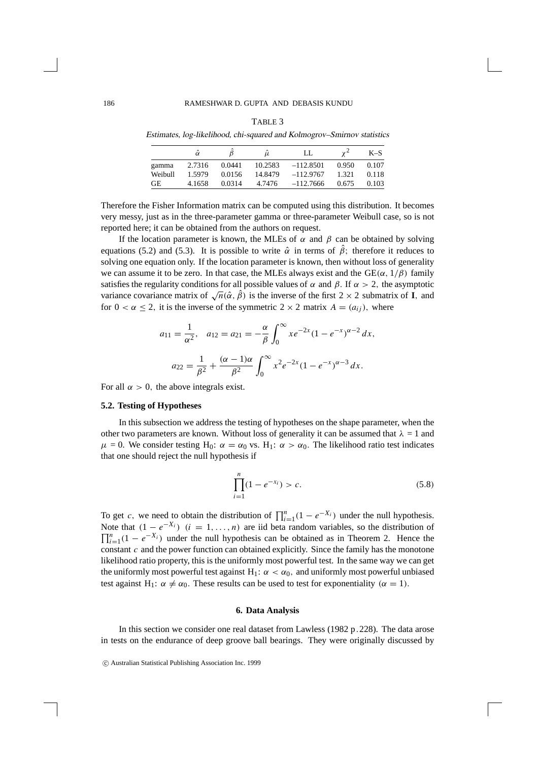| י מר |  |
|------|--|
|------|--|

Estimates, log-likelihood, chi-squared and Kolmogrov–Smirnov statistics

|         |        |        |         | LL.         |       | $K-S$ |
|---------|--------|--------|---------|-------------|-------|-------|
| gamma   | 2.7316 | 0.0441 | 10.2583 | $-112.8501$ | 0.950 | 0.107 |
| Weibull | 1.5979 | 0.0156 | 14.8479 | $-112.9767$ | 1.321 | 0.118 |
| GE.     | 4.1658 | 0.0314 | 4.7476  | $-112.7666$ | 0.675 | 0.103 |

Therefore the Fisher Information matrix can be computed using this distribution. It becomes very messy, just as in the three-parameter gamma or three-parameter Weibull case, so is not reported here; it can be obtained from the authors on request.

If the location parameter is known, the MLEs of  $\alpha$  and  $\beta$  can be obtained by solving equations (5.2) and (5.3). It is possible to write  $\hat{\alpha}$  in terms of  $\hat{\beta}$ ; therefore it reduces to solving one equation only. If the location parameter is known, then without loss of generality we can assume it to be zero. In that case, the MLEs always exist and the  $GE(\alpha, 1/\beta)$  family satisfies the regularity conditions for all possible values of  $\alpha$  and  $\beta$ . If  $\alpha > 2$ , the asymptotic variance covariance matrix of  $\sqrt{n}(\hat{\alpha}, \hat{\beta})$  is the inverse of the first 2  $\times$  2 submatrix of **I**, and for  $0 < \alpha \leq 2$ , it is the inverse of the symmetric  $2 \times 2$  matrix  $A = (a_{ij})$ , where

$$
a_{11} = \frac{1}{\alpha^2}, \quad a_{12} = a_{21} = -\frac{\alpha}{\beta} \int_0^\infty x e^{-2x} (1 - e^{-x})^{\alpha - 2} dx,
$$
  

$$
a_{22} = \frac{1}{\beta^2} + \frac{(\alpha - 1)\alpha}{\beta^2} \int_0^\infty x^2 e^{-2x} (1 - e^{-x})^{\alpha - 3} dx.
$$

For all  $\alpha > 0$ , the above integrals exist.

#### **5.2. Testing of Hypotheses**

In this subsection we address the testing of hypotheses on the shape parameter, when the other two parameters are known. Without loss of generality it can be assumed that  $\lambda = 1$  and  $\mu = 0$ . We consider testing H<sub>0</sub>:  $\alpha = \alpha_0$  vs. H<sub>1</sub>:  $\alpha > \alpha_0$ . The likelihood ratio test indicates that one should reject the null hypothesis if

$$
\prod_{i=1}^{n} (1 - e^{-x_i}) > c. \tag{5.8}
$$

To get c, we need to obtain the distribution of  $\prod_{i=1}^{n} (1 - e^{-X_i})$  under the null hypothesis. Note that  $(1 - e^{-X_i})$   $(i = 1, ..., n)$  are iid beta random variables, so the distribution of  $\prod_{i=1}^{n} (1 - e^{-X_i})$  under the null hypothesis can be obtained as in Theorem 2. Hence the constant  $c$  and the power function can obtained explicitly. Since the family has the monotone likelihood ratio property, this is the uniformly most powerful test. In the same way we can get the uniformly most powerful test against H<sub>1</sub>:  $\alpha < \alpha_0$ , and uniformly most powerful unbiased test against H<sub>1</sub>:  $\alpha \neq \alpha_0$ . These results can be used to test for exponentiality ( $\alpha = 1$ ).

#### **6. Data Analysis**

In this section we consider one real dataset from Lawless (1982 p.228). The data arose in tests on the endurance of deep groove ball bearings. They were originally discussed by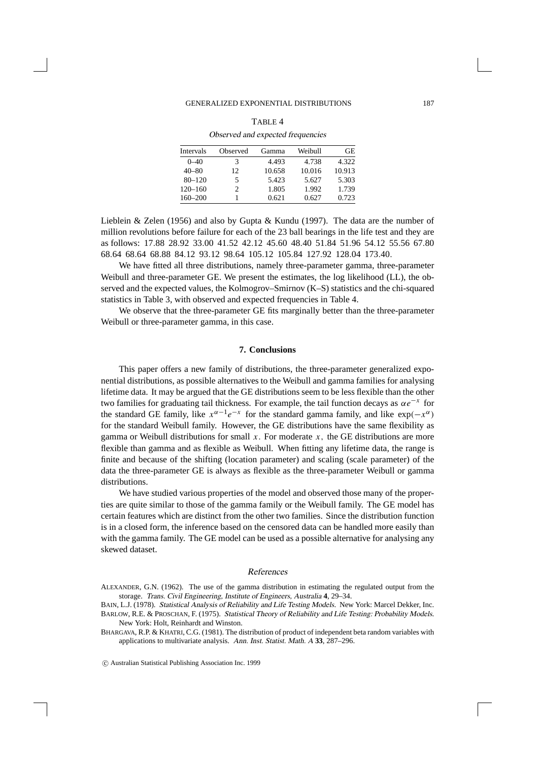| Intervals   | Observed | Gamma  | Weibull | GE     |
|-------------|----------|--------|---------|--------|
| $0 - 40$    | 3        | 4.493  | 4.738   | 4.322  |
| $40 - 80$   | 12       | 10.658 | 10.016  | 10.913 |
| $80 - 120$  | 5        | 5.423  | 5.627   | 5.303  |
| $120 - 160$ | 2        | 1.805  | 1.992   | 1.739  |
| $160 - 200$ |          | 0.621  | 0.627   | 0.723  |

| ĸ |  |
|---|--|
|---|--|

Observed and expected frequencies

Lieblein & Zelen (1956) and also by Gupta & Kundu (1997). The data are the number of million revolutions before failure for each of the 23 ball bearings in the life test and they are as follows: 17.88 28.92 33.00 41.52 42.12 45.60 48.40 51.84 51.96 54.12 55.56 67.80 68.64 68.64 68.88 84.12 93.12 98.64 105.12 105.84 127.92 128.04 173.40.

We have fitted all three distributions, namely three-parameter gamma, three-parameter Weibull and three-parameter GE. We present the estimates, the log likelihood (LL), the observed and the expected values, the Kolmogrov–Smirnov (K–S) statistics and the chi-squared statistics in Table 3, with observed and expected frequencies in Table 4.

We observe that the three-parameter GE fits marginally better than the three-parameter Weibull or three-parameter gamma, in this case.

## **7. Conclusions**

This paper offers a new family of distributions, the three-parameter generalized exponential distributions, as possible alternatives to the Weibull and gamma families for analysing lifetime data. It may be argued that the GE distributions seem to be less flexible than the other two families for graduating tail thickness. For example, the tail function decays as  $\alpha e^{-x}$  for the standard GE family, like  $x^{\alpha-1}e^{-x}$  for the standard gamma family, and like  $\exp(-x^{\alpha})$ for the standard Weibull family. However, the GE distributions have the same flexibility as gamma or Weibull distributions for small  $x$ . For moderate  $x$ , the GE distributions are more flexible than gamma and as flexible as Weibull. When fitting any lifetime data, the range is finite and because of the shifting (location parameter) and scaling (scale parameter) of the data the three-parameter GE is always as flexible as the three-parameter Weibull or gamma distributions.

We have studied various properties of the model and observed those many of the properties are quite similar to those of the gamma family or the Weibull family. The GE model has certain features which are distinct from the other two families. Since the distribution function is in a closed form, the inference based on the censored data can be handled more easily than with the gamma family. The GE model can be used as a possible alternative for analysing any skewed dataset.

#### References

ALEXANDER, G.N. (1962). The use of the gamma distribution in estimating the regulated output from the storage. Trans. Civil Engineering, Institute of Engineers, Australia **4**, 29–34.

BAIN, L.J. (1978). Statistical Analysis of Reliability and Life Testing Models. New York: Marcel Dekker, Inc. BARLOW, R.E. & PROSCHAN, F. (1975). Statistical Theory of Reliability and Life Testing: Probability Models.

New York: Holt, Reinhardt and Winston.

BHARGAVA, R.P. & KHATRI, C.G. (1981). The distribution of product of independent beta random variables with applications to multivariate analysis. Ann. Inst. Statist. Math. A **33**, 287–296.